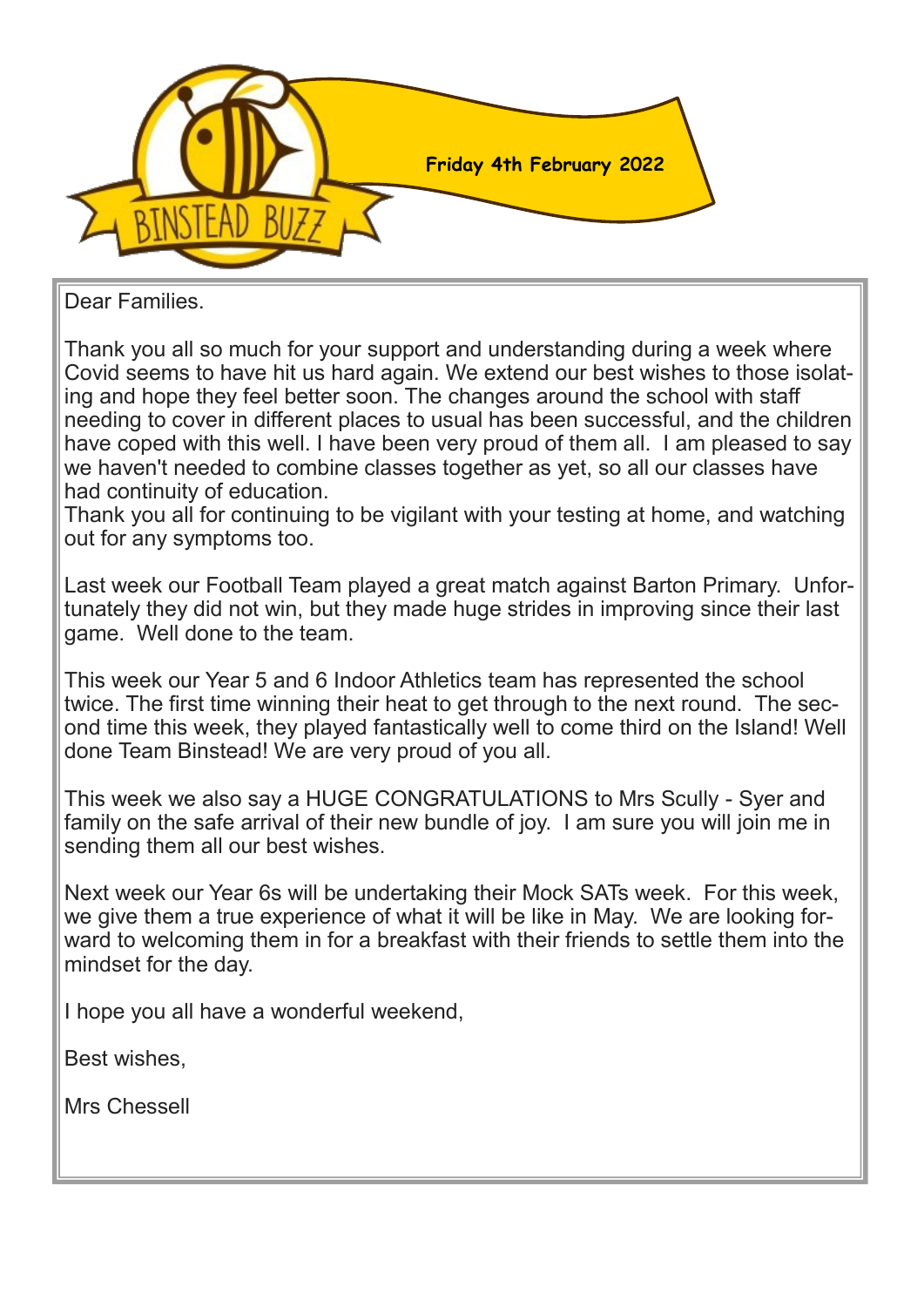

Dear Families.

Thank you all so much for your support and understanding during a week where Covid seems to have hit us hard again. We extend our best wishes to those isolating and hope they feel better soon. The changes around the school with staff needing to cover in different places to usual has been successful, and the children have coped with this well. I have been very proud of them all. I am pleased to say we haven't needed to combine classes together as yet, so all our classes have had continuity of education.

Thank you all for continuing to be vigilant with your testing at home, and watching out for any symptoms too.

Last week our Football Team played a great match against Barton Primary. Unfortunately they did not win, but they made huge strides in improving since their last game. Well done to the team.

This week our Year 5 and 6 Indoor Athletics team has represented the school twice. The first time winning their heat to get through to the next round. The second time this week, they played fantastically well to come third on the Island! Well done Team Binstead! We are very proud of you all.

This week we also say a HUGE CONGRATULATIONS to Mrs Scully - Syer and family on the safe arrival of their new bundle of joy. I am sure you will join me in sending them all our best wishes.

Next week our Year 6s will be undertaking their Mock SATs week. For this week, we give them a true experience of what it will be like in May. We are looking forward to welcoming them in for a breakfast with their friends to settle them into the mindset for the day.

I hope you all have a wonderful weekend,

Best wishes,

Mrs Chessell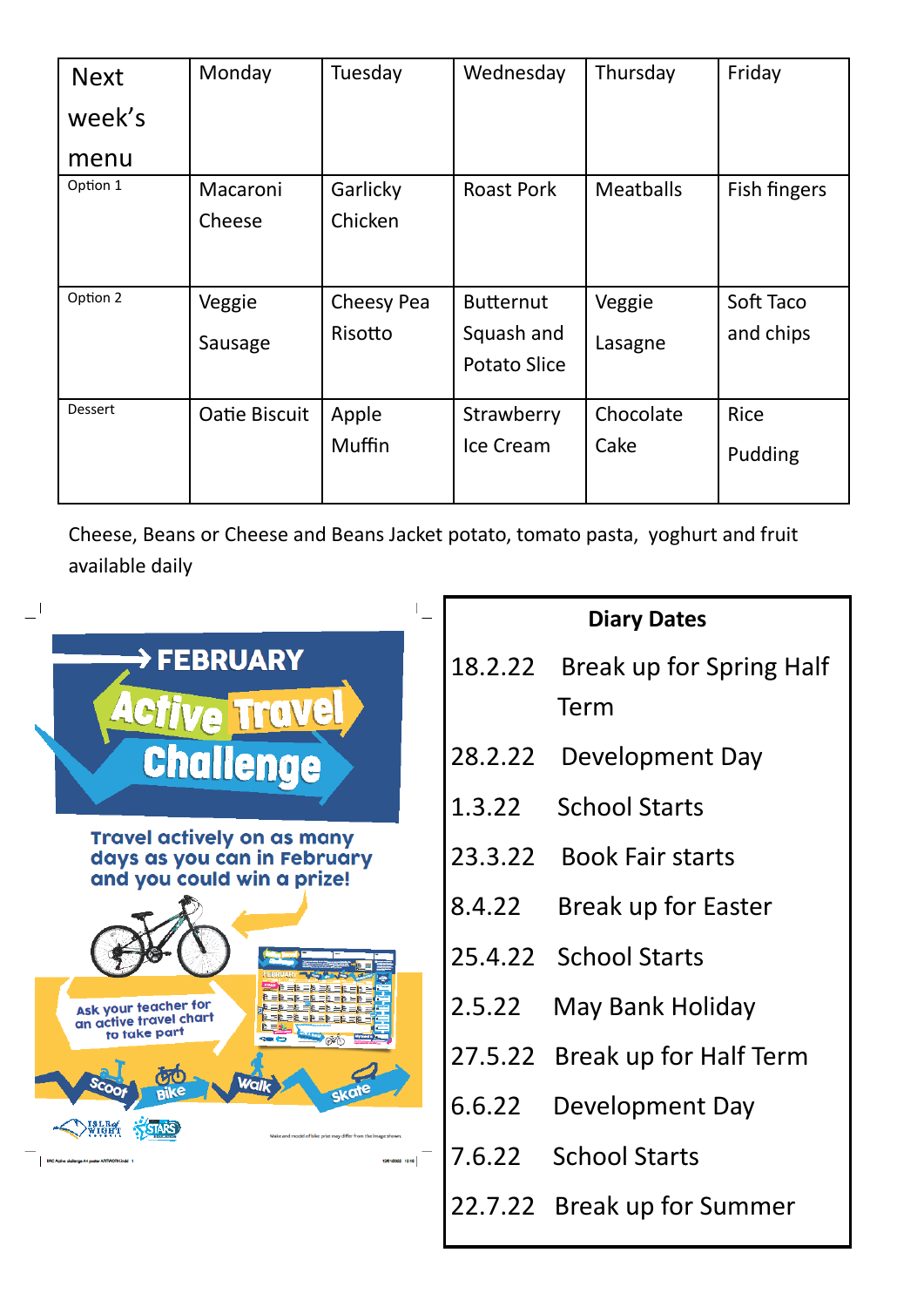| <b>Next</b> | Monday        | Tuesday    | Wednesday           | Thursday         | Friday       |
|-------------|---------------|------------|---------------------|------------------|--------------|
| week's      |               |            |                     |                  |              |
| menu        |               |            |                     |                  |              |
| Option 1    | Macaroni      | Garlicky   | <b>Roast Pork</b>   | <b>Meatballs</b> | Fish fingers |
|             | Cheese        | Chicken    |                     |                  |              |
|             |               |            |                     |                  |              |
| Option 2    | Veggie        | Cheesy Pea | <b>Butternut</b>    | Veggie           | Soft Taco    |
|             | Sausage       | Risotto    | Squash and          | Lasagne          | and chips    |
|             |               |            | <b>Potato Slice</b> |                  |              |
| Dessert     | Oatie Biscuit | Apple      | Strawberry          | Chocolate        | <b>Rice</b>  |
|             |               | Muffin     | Ice Cream           | Cake             | Pudding      |
|             |               |            |                     |                  |              |

Cheese, Beans or Cheese and Beans Jacket potato, tomato pasta, yoghurt and fruit available daily

|                                                                                                |         | <b>Diary Dates</b>             |
|------------------------------------------------------------------------------------------------|---------|--------------------------------|
| <b>&gt; FEBRUARY</b>                                                                           | 18.2.22 | Break up for Spring Half       |
| <b>Travel</b>                                                                                  |         | Term                           |
| <b>Challenge</b>                                                                               | 28.2.22 | Development Day                |
|                                                                                                | 1.3.22  | <b>School Starts</b>           |
| <b>Travel actively on as many</b><br>days as you can in February<br>and you could win a prize! | 23.3.22 | <b>Book Fair starts</b>        |
|                                                                                                | 8.4.22  | Break up for Easter            |
|                                                                                                |         | 25.4.22 School Starts          |
| Ask your teacher for<br>an active travel chart<br>to take part                                 | 2.5.22  | May Bank Holiday               |
| Wall                                                                                           |         | 27.5.22 Break up for Half Term |
|                                                                                                | 6.6.22  | Development Day                |
| Make and model of bike prize may differ from the image show<br>13/01/2022 12:16                | 7.6.22  | <b>School Starts</b>           |
|                                                                                                |         | 22.7.22 Break up for Summer    |
|                                                                                                |         |                                |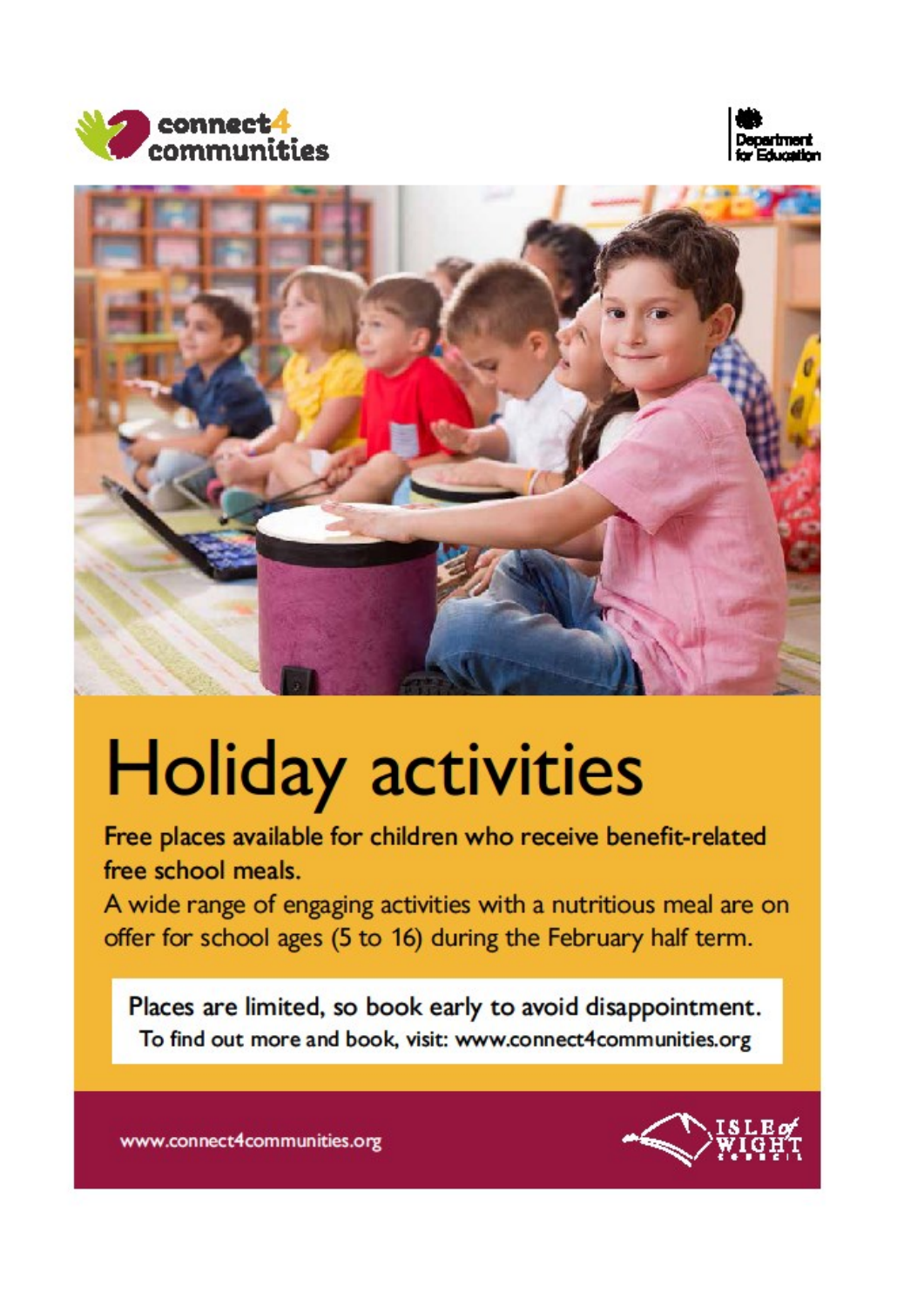





## **Holiday activities**

Free places available for children who receive benefit-related free school meals.

A wide range of engaging activities with a nutritious meal are on offer for school ages (5 to 16) during the February half term.

Places are limited, so book early to avoid disappointment. To find out more and book, visit: www.connect4communities.org



www.connect4communities.org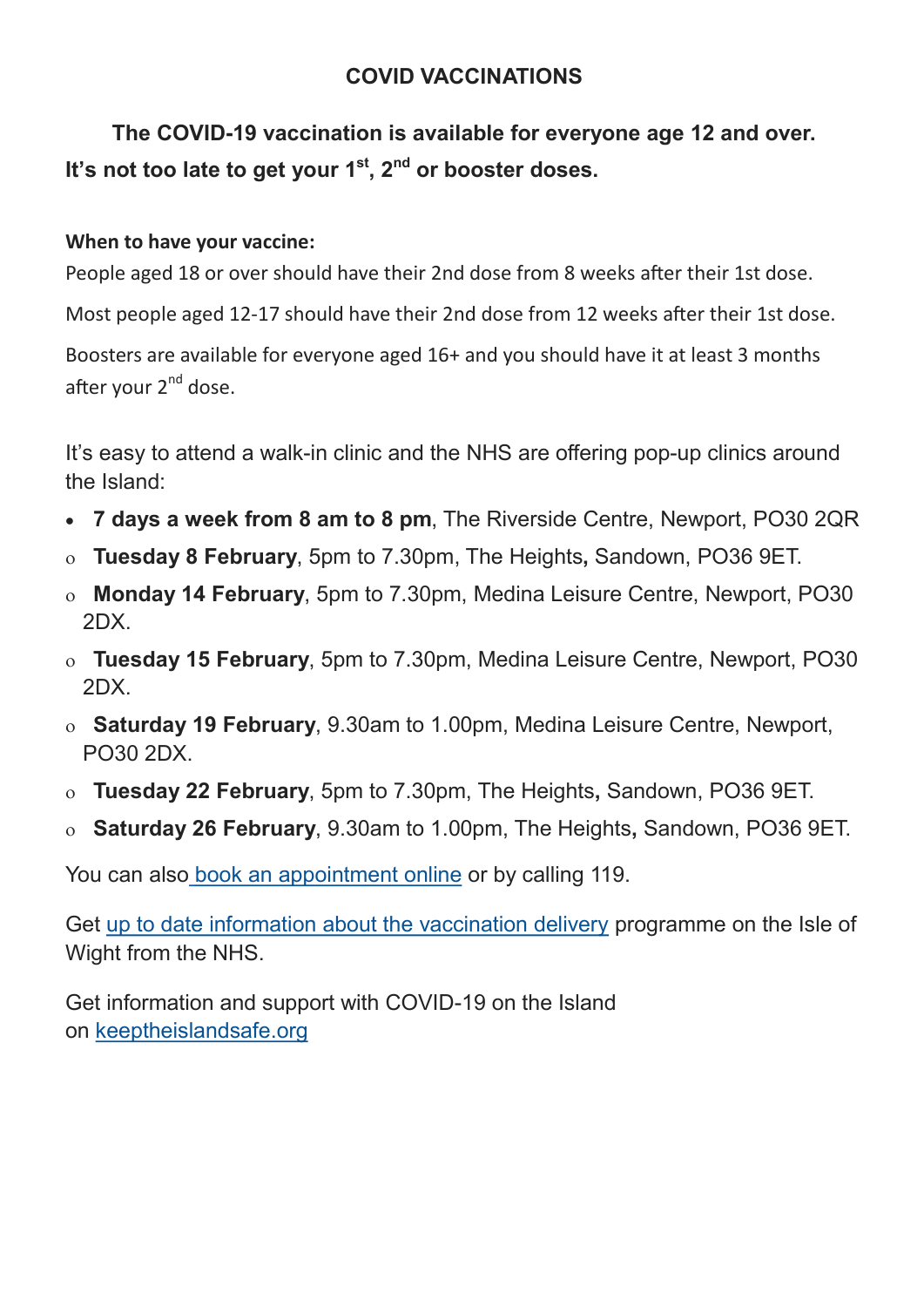## **COVID VACCINATIONS**

**The COVID-19 vaccination is available for everyone age 12 and over. It's not too late to get your 1st, 2nd or booster doses.**

## **When to have your vaccine:**

People aged 18 or over should have their 2nd dose from 8 weeks after their 1st dose.

Most people aged 12-17 should have their 2nd dose from 12 weeks after their 1st dose.

Boosters are available for everyone aged 16+ and you should have it at least 3 months after your  $2^{nd}$  dose.

It's easy to attend a walk-in clinic and the NHS are offering pop-up clinics around the Island:

- **7 days a week from 8 am to 8 pm**, The Riverside Centre, Newport, PO30 2QR
- **Tuesday 8 February**, 5pm to 7.30pm, The Heights**,** Sandown, PO36 9ET.
- **Monday 14 February**, 5pm to 7.30pm, Medina Leisure Centre, Newport, PO30 2DX.
- **Tuesday 15 February**, 5pm to 7.30pm, Medina Leisure Centre, Newport, PO30 2DX.
- **Saturday 19 February**, 9.30am to 1.00pm, Medina Leisure Centre, Newport, PO30 2DX.
- **Tuesday 22 February**, 5pm to 7.30pm, The Heights**,** Sandown, PO36 9ET.
- **Saturday 26 February**, 9.30am to 1.00pm, The Heights**,** Sandown, PO36 9ET.

You can also [book an appointment online](https://www.nhs.uk/conditions/coronavirus-covid-19/coronavirus-vaccination/book-coronavirus-vaccination/) or by calling 119.

Get [up to date information about the vaccination delivery](https://www.hampshiresouthamptonandisleofwightccg.nhs.uk/your-health/latest-information-on-covid-19/covid-19-vaccination-programme/walk-in-clinics-near-you) programme on the Isle of Wight from the NHS.

Get information and support with COVID-19 on the Island on [keeptheislandsafe.org](https://keeptheislandsafe.org/)